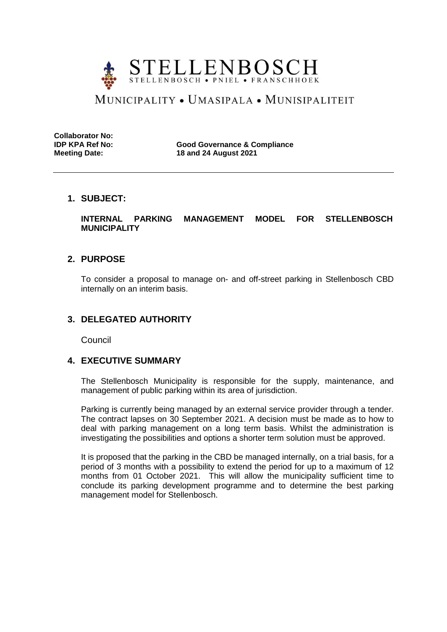

# MUNICIPALITY • UMASIPALA • MUNISIPALITEIT

**Collaborator No:**

**IDP KPA Ref No: Good Governance & Compliance Meeting Date: 18 and 24 August 2021**

# **1. SUBJECT:**

**INTERNAL PARKING MANAGEMENT MODEL FOR STELLENBOSCH MUNICIPALITY** 

# **2. PURPOSE**

To consider a proposal to manage on- and off-street parking in Stellenbosch CBD internally on an interim basis.

# **3. DELEGATED AUTHORITY**

Council

# **4. EXECUTIVE SUMMARY**

The Stellenbosch Municipality is responsible for the supply, maintenance, and management of public parking within its area of jurisdiction.

Parking is currently being managed by an external service provider through a tender. The contract lapses on 30 September 2021. A decision must be made as to how to deal with parking management on a long term basis. Whilst the administration is investigating the possibilities and options a shorter term solution must be approved.

It is proposed that the parking in the CBD be managed internally, on a trial basis, for a period of 3 months with a possibility to extend the period for up to a maximum of 12 months from 01 October 2021. This will allow the municipality sufficient time to conclude its parking development programme and to determine the best parking management model for Stellenbosch.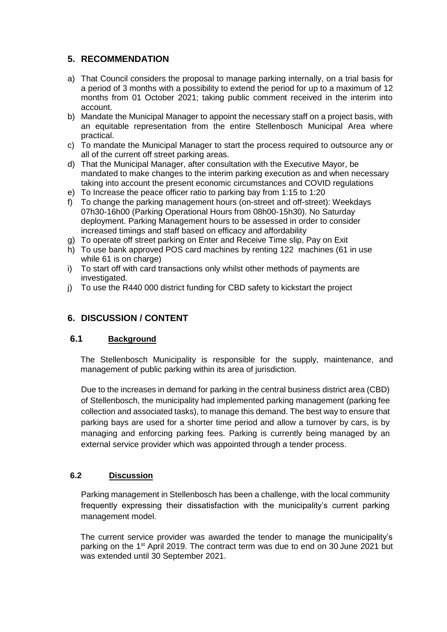# **5. RECOMMENDATION**

- a) That Council considers the proposal to manage parking internally, on a trial basis for a period of 3 months with a possibility to extend the period for up to a maximum of 12 months from 01 October 2021; taking public comment received in the interim into account.
- b) Mandate the Municipal Manager to appoint the necessary staff on a project basis, with an equitable representation from the entire Stellenbosch Municipal Area where practical.
- c) To mandate the Municipal Manager to start the process required to outsource any or all of the current off street parking areas.
- d) That the Municipal Manager, after consultation with the Executive Mayor, be mandated to make changes to the interim parking execution as and when necessary taking into account the present economic circumstances and COVID regulations
- e) To Increase the peace officer ratio to parking bay from 1:15 to 1:20
- f) To change the parking management hours (on-street and off-street): Weekdays 07h30-16h00 (Parking Operational Hours from 08h00-15h30). No Saturday deployment. Parking Management hours to be assessed in order to consider increased timings and staff based on efficacy and affordability
- g) To operate off street parking on Enter and Receive Time slip, Pay on Exit
- h) To use bank approved POS card machines by renting 122 machines (61 in use while 61 is on charge)
- i) To start off with card transactions only whilst other methods of payments are investigated.
- j) To use the R440 000 district funding for CBD safety to kickstart the project

# **6. DISCUSSION / CONTENT**

# **6.1 Background**

The Stellenbosch Municipality is responsible for the supply, maintenance, and management of public parking within its area of jurisdiction.

Due to the increases in demand for parking in the central business district area (CBD) of Stellenbosch, the municipality had implemented parking management (parking fee collection and associated tasks), to manage this demand. The best way to ensure that parking bays are used for a shorter time period and allow a turnover by cars, is by managing and enforcing parking fees. Parking is currently being managed by an external service provider which was appointed through a tender process.

#### **6.2 Discussion**

Parking management in Stellenbosch has been a challenge, with the local community frequently expressing their dissatisfaction with the municipality's current parking management model.

The current service provider was awarded the tender to manage the municipality's parking on the 1<sup>st</sup> April 2019. The contract term was due to end on 30 June 2021 but was extended until 30 September 2021.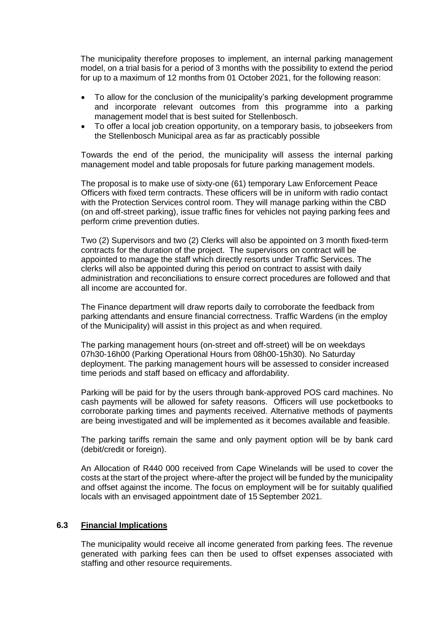The municipality therefore proposes to implement, an internal parking management model, on a trial basis for a period of 3 months with the possibility to extend the period for up to a maximum of 12 months from 01 October 2021, for the following reason:

- To allow for the conclusion of the municipality's parking development programme and incorporate relevant outcomes from this programme into a parking management model that is best suited for Stellenbosch.
- To offer a local job creation opportunity, on a temporary basis, to jobseekers from the Stellenbosch Municipal area as far as practicably possible

Towards the end of the period, the municipality will assess the internal parking management model and table proposals for future parking management models.

The proposal is to make use of sixty-one (61) temporary Law Enforcement Peace Officers with fixed term contracts. These officers will be in uniform with radio contact with the Protection Services control room. They will manage parking within the CBD (on and off-street parking), issue traffic fines for vehicles not paying parking fees and perform crime prevention duties.

Two (2) Supervisors and two (2) Clerks will also be appointed on 3 month fixed-term contracts for the duration of the project. The supervisors on contract will be appointed to manage the staff which directly resorts under Traffic Services. The clerks will also be appointed during this period on contract to assist with daily administration and reconciliations to ensure correct procedures are followed and that all income are accounted for.

The Finance department will draw reports daily to corroborate the feedback from parking attendants and ensure financial correctness. Traffic Wardens (in the employ of the Municipality) will assist in this project as and when required.

The parking management hours (on-street and off-street) will be on weekdays 07h30-16h00 (Parking Operational Hours from 08h00-15h30). No Saturday deployment. The parking management hours will be assessed to consider increased time periods and staff based on efficacy and affordability.

Parking will be paid for by the users through bank-approved POS card machines. No cash payments will be allowed for safety reasons. Officers will use pocketbooks to corroborate parking times and payments received. Alternative methods of payments are being investigated and will be implemented as it becomes available and feasible.

The parking tariffs remain the same and only payment option will be by bank card (debit/credit or foreign).

An Allocation of R440 000 received from Cape Winelands will be used to cover the costs at the start of the project where-after the project will be funded by the municipality and offset against the income. The focus on employment will be for suitably qualified locals with an envisaged appointment date of 15 September 2021.

#### **6.3 Financial Implications**

The municipality would receive all income generated from parking fees. The revenue generated with parking fees can then be used to offset expenses associated with staffing and other resource requirements.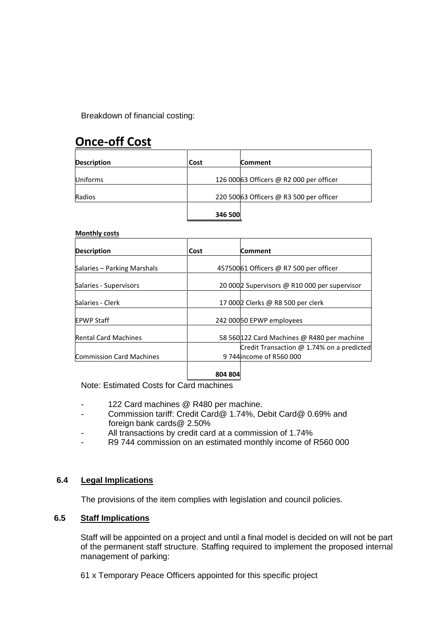Breakdown of financial costing:

# **Once-off Cost**

| <b>Description</b> | Cost    | <b>Comment</b>                           |
|--------------------|---------|------------------------------------------|
| <b>Uniforms</b>    |         | 126 000 63 Officers @ R2 000 per officer |
| Radios             |         | 220 500 63 Officers @ R3 500 per officer |
|                    | 346 500 |                                          |

#### **Monthly costs**

| <b>Description</b>              | Cost    | Comment                                          |
|---------------------------------|---------|--------------------------------------------------|
| Salaries - Parking Marshals     |         | 457500 61 Officers @ R7 500 per officer          |
| Salaries - Supervisors          |         | 20 000 2 Supervisors @ R10 000 per supervisor    |
| Salaries - Clerk                |         | 17 000 2 Clerks @ R8 500 per clerk               |
| <b>EPWP Staff</b>               |         | 242 00050 EPWP employees                         |
| <b>Rental Card Machines</b>     |         | 58 560 122 Card Machines @ R480 per machine      |
|                                 |         | Credit Transaction $\omega$ 1.74% on a predicted |
| <b>Commission Card Machines</b> |         | 9 744 income of R560 000                         |
|                                 | 804 804 |                                                  |

Note: Estimated Costs for Card machines

- 122 Card machines @ R480 per machine.
- Commission tariff: Credit Card@ 1.74%, Debit Card@ 0.69% and foreign bank cards@ 2.50%
- All transactions by credit card at a commission of 1.74%
- R9 744 commission on an estimated monthly income of R560 000

#### **6.4 Legal Implications**

The provisions of the item complies with legislation and council policies.

# **6.5 Staff Implications**

Staff will be appointed on a project and until a final model is decided on will not be part of the permanent staff structure. Staffing required to implement the proposed internal management of parking:

61 x Temporary Peace Officers appointed for this specific project